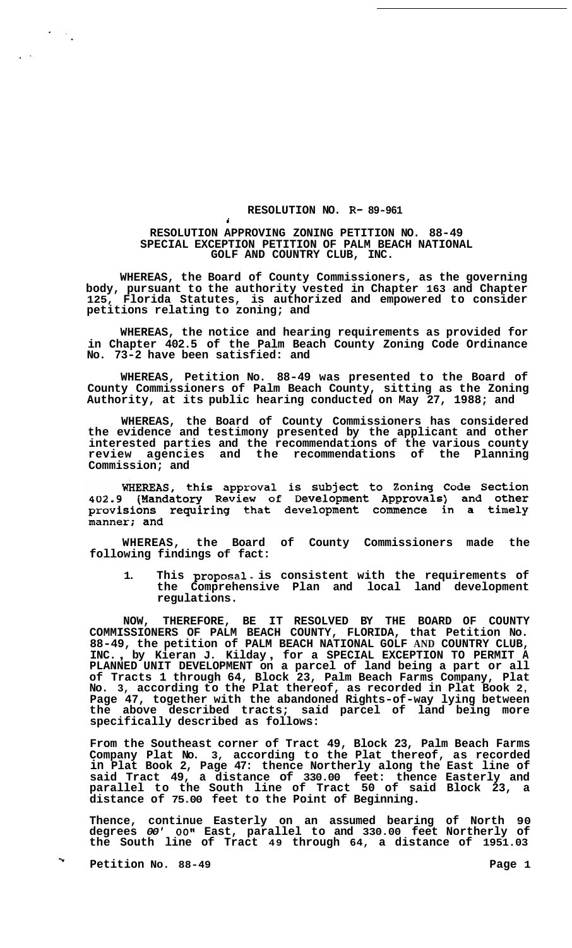## **RESOLUTION NO. R- 89-961**

## **RESOLUTION APPROVING ZONING PETITION NO. 88-49 SPECIAL EXCEPTION PETITION OF PALM BEACH NATIONAL GOLF AND COUNTRY CLUB, INC.**

**i** 

 $\overline{\mathcal{O}}_{\mathcal{O}}$  ,  $\overline{\mathcal{O}}_{\mathcal{O}}$ 

**WHEREAS, the Board of County Commissioners, as the governing body, pursuant to the authority vested in Chapter 163 and Chapter 125, Florida Statutes, is authorized and empowered to consider petitions relating to zoning; and** 

**WHEREAS, the notice and hearing requirements as provided for in Chapter 402.5 of the Palm Beach County Zoning Code Ordinance No. 73-2 have been satisfied: and** 

**WHEREAS, Petition No. 88-49 was presented to the Board of County Commissioners of Palm Beach County, sitting as the Zoning Authority, at its public hearing conducted on May 27, 1988; and** 

**WHEREAS, the Board of County Commissioners has considered the evidence and testimony presented by the applicant and other interested parties and the recommendations of the various county review agencies and the recommendations of the Planning Commission; and** 

WHEREAS, this approval is subject to Zoning Code Section<br>402.9 (Mandatory Review of Development Approvals) and other provisions requiring that development commence in a timely manner; and

**WHEREAS, the Board of County Commissioners made the following findings of fact:** 

1. This proposal is consistent with the requirements of **the Comprehensive Plan and local land development regulations.** 

**NOW, THEREFORE, BE IT RESOLVED BY THE BOARD OF COUNTY COMMISSIONERS OF PALM BEACH COUNTY, FLORIDA, that Petition No. 88-49, the petition of PALM BEACH NATIONAL GOLF AND COUNTRY CLUB, INC.** , **by Kieran J. Kilday** , **for a SPECIAL EXCEPTION TO PERMIT A PLANNED UNIT DEVELOPMENT on a parcel of land being a part or all of Tracts 1 through 64, Block 23, Palm Beach Farms Company, Plat No. 3, according to the Plat thereof, as recorded in Plat Book 2, Page 47, together with the abandoned Rights-of-way lying between the above described tracts; said parcel of land being more specifically described as follows:** 

**From the Southeast corner of Tract 49, Block 23, Palm Beach Farms Company Plat No. 3, according to the Plat thereof, as recorded in Plat Book 2, Page 47: thence Northerly along the East line of said Tract 49, a distance of 330.00 feet: thence Easterly and parallel to the South line of Tract 50 of said Block 23, a distance of 75.00 feet to the Point of Beginning.** 

**Thence, continue Easterly on an assumed bearing of North 90 degrees** *00' 00"* **East, parallel to and 330.00 feet Northerly of the South line of Tract 49 through 64, a distance of 1951.03** 

**Petition No. 88-49 Page 1 <sup>w</sup>**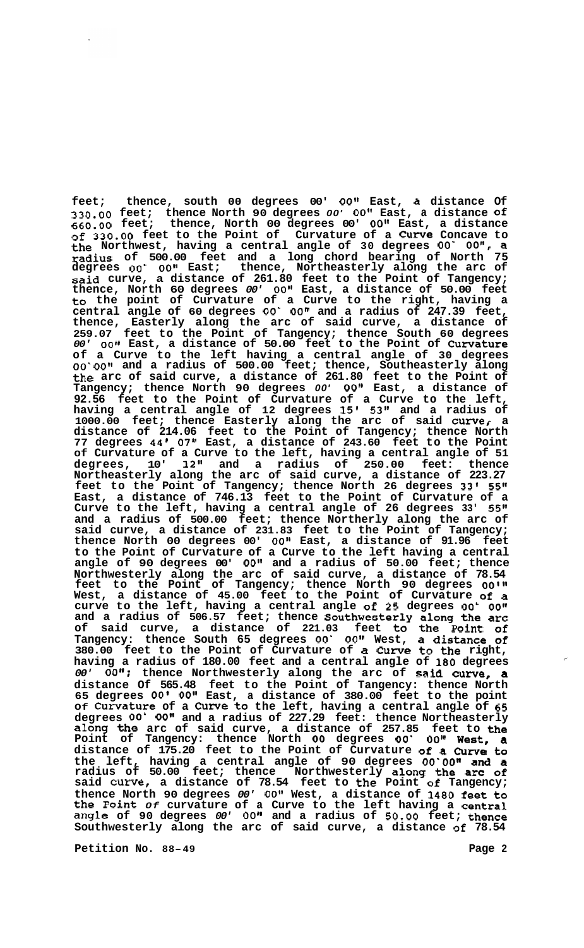**feet; thence, south 00 degrees 00'** *00"* **East, a distance Of 330.00 feet; thence North 90 degrees** *00'* **0Ot1 East, a distance of 660.00 feet; thence, North 00 degrees 00' 0On1 East, a distance of 330.00 feet to the Point of Curvature of a Curve Concave to the Northwest, having a central angle of 30 degrees** *00' OO",* **a radius of 500.00 feet and a long chord bearing of North 75 degrees** *00' 0011* **East; thence, Northeasterly along the arc of said curve, a distance of 261.80 feet to the Point of Tangency; thence, North 60 degrees** *00'* **0Og1 East, a distance of 50.00 feet to the point of Curvature of a Curve to the right, having a central angle of 60 degrees** *00' 00"* **and a radius of 247.39 feet, thence, Easterly along the arc of said curve, a distance of 259.07 feet to the Point of Tangency; thence South 60 degrees**  *00' 00"* **East, a distance of 50.00 feet to the Point of Curvature of a Curve to the left having a central angle of 30 degrees**  *00' 00"* **and a radius of 500.00 feet; thence, Southeasterly along the arc of said curve, a distance of 261.80 feet to the Point of Tangency; thence North 90 degrees** *00' 00"* **East, a distance of 92.56 feet to the Point of Curvature of a Curve to the left, having a central angle of 12 degrees 15' 53" and a radius of 1000.00 feet; thence Easterly along the arc of said curvef a distance of 214.06 feet to the Point of Tangency; thence North 77 degrees 44' 07" East, a distance of 243.60 feet to the Point of Curvature of a Curve to the left, having a central angle of 51 degrees, 10' 12" and a radius of 250.00 feet: thence Northeasterly along the arc of said curve, a distance of 223.27 feet to the Point of Tangency; thence North 26 degrees 33' 55" East, a distance of 746.13 feet to the Point of Curvature of a Curve to the left, having a central angle of 26 degrees 33' 55" and a radius of 500.00 feet; thence Northerly along the arc of said curve, a distance of 231.83 feet to the Point of Tangency; thence North 00 degrees 00' O0l1 East, a distance of 91.96 feet to the Point of Curvature of a Curve to the left having a central angle of 90 degrees 00' 00" and a radius of 50.00 feet; thence Northwesterly along the arc of said curve, a distance of 78.54**  feet to the Point of Tangency; thence North 90 degrees 00'" **West, a distance of 45.00 feet to the Point of Curvature of a curve to the left, having a central angle of 25 degrees** *00' 00~~*  **and a radius of 506.57 feet; thence Southwesterly along the arc of said curve, a distance of 221.03 feet to the point of Tangency: thence South 65 degrees** *00'* **OO1t West, a distance of 380.00 feet to the Point of Curvature of** *a* **Cuwe to the right, having a radius of 180.00 feet and a central angle of 180 degrees**  *00' 00";* **thence Northwesterly along the arc of said curve, a distance Of 565.48 feet to the Point of Tangency: thence North 65 degrees** *00'* **O0l1 East, a distance of 380.00 feet to the point Of Curvature of a Curve to the left, having a central angle of 65 degrees** *00' 00''* **and a radius of 227.29 feet: thence Northeasterly along the arc of said curve, a distance of 257.85 feet to the Point of Tangency: thence North** *00* **degrees** *00' OO~* **West, a distance of 175.20 feet to the Point of Curvature of a Curve to the left, having a central angle of 90 degrees** *00'00"* **and a radius of 50.00 feet; thence Northwesterly along the arc of said Curve, a distance of 78.54 feet to the Point of Tangency; thence North 90 degrees** *00'* **0Ot1 West, a distance of 1480 feet to the Point** *Of* **curvature of a Curve to the left having a central angle of 90 degrees** *00' 0011* **and a radius of** *50.00* **feet; thence Southwesterly along the arc of said curve, a distance of 78.54** 

**Petition No. 88-49 Page 2** 

 $\boldsymbol{\tilde{\epsilon}}$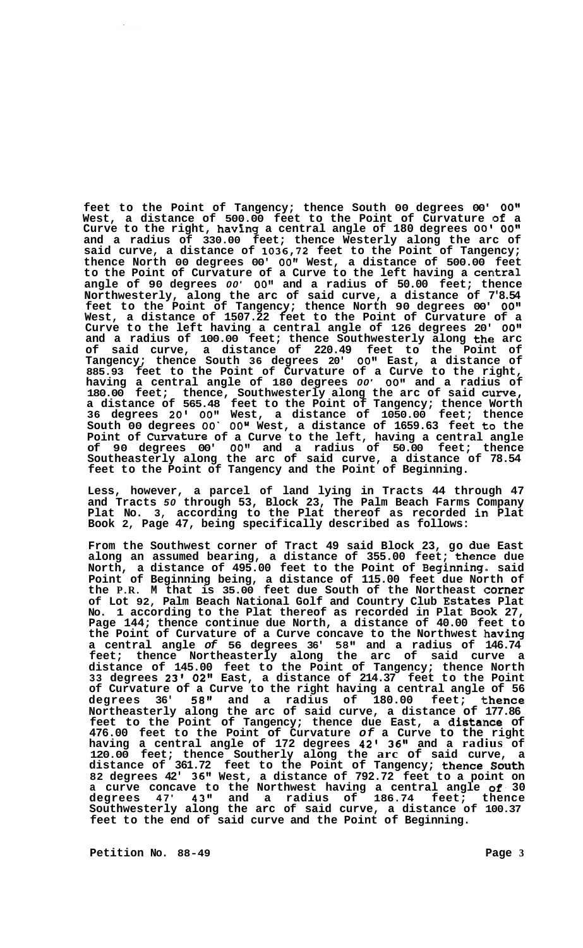**feet to the Point of Tangency; thence South 00 degrees 00'** *OO1w*  **West, a distance of 500.00 feet to the Point of Curvature of a Curve to the right, havhg a central angle of 180 degrees** *00' 00"*  **and a radius of 330.00 feet; thence Westerly along the arc of said curve, a distance of 1036,72 feet to the Point of Tangency; thence North 00 degrees 00'** *00"* **West, a distance of 500.00 feet**  to the Point of Curvature of a Curve to the left having a **central angle of 90 degrees** *00'* **0Off and a radius of 50.00 feet; thence Northwesterly, along the arc of said curve, a distance of 7'8.54 feet to the Point of Tangency; thence North 90 degrees 00'** *0O1l*  **West, a distance of 1507.22 feet to the Point of Curvature of a Curve to the left having a central angle of 126 degrees 20'** *0Ot1*  **and a radius of 100.00 feet; thence Southwesterly along the arc of said curve, a distance of 220.49 feet to the Point of Tangency; thence South 36 degrees 20' 0Otg East, a distance of 885.93 feet to the Point of Curvature of a Curve to the right,**  having a central angle of 180 degrees 00' 00" and a radius of **180.00 feet; thence, Southwesterly along the arc of said curve, a distance of 565.48 feet to the Point of Tangency; thence Worth 36 degrees 20'** *00"* **West, a distance of 1050.00 feet; thence**  South 00 degrees 00' 00" West, a distance of 1659.63 feet to the **Point of Cuwature of a Curve to the left, having a central angle of 90 degrees 00' 0Ot1 and a radius of 50.00 feet; thence Southeasterly along the arc of said curve, a distance of 78.54 feet to the Point of Tangency and the Point of Beginning.** 

**Less, however, a parcel of land lying in Tracts 44 through 47 and Tracts** *50* **through 53, Block 23, The Palm Beach Farms Company Plat No. 3, according to the Plat thereof as recorded in Plat Book 2, Page 47, being specifically described as follows:** 

**From the Southwest corner of Tract 49 said Block 23, go due East along an assumed bearing, a distance of 355.00 feet; thence due North, a distance of 495.00 feet to the Point of Beginning. said Point of Beginning being, a distance of 115.00 feet due North of the P.R. M that is 35.00 feet due South of the Northeast corner**  of Lot 92, Palm Beach National Golf and Country Club Estates Plat **No. 1 according to the Plat thereof as recorded in Plat Book 27, Page 144; thence continue due North, a distance of 40.00 feet to the Point of Curvature of a Curve concave to the Northwest having a central angle** *of* **56 degrees 36' 58" and a radius of 146.74 feet; thence Northeasterly along the arc of said curve a distance of 145.00 feet to the Point of Tangency; thence North 33 degrees 23' 02" East, a distance of 214.37 feet to the Point of Curvature of a Curve to the right having a central angle of 56 degrees 36'** *58"* **and a radius of 180.00 feet; 'Ithence Northeasterly along the arc of said curve, a distance of 177.86**  feet to the Point of Tangency; thence due East, a distance of **476.00 feet to the Point of Curvature** *of* **a Curve to the right having a central angle of 172 degrees 42' 36" and a radius of 120.00 feet; thence Southerly along the arc of said curve, a distance of 361.72 feet to the Point of Tangency; thence! South 82 degrees 42' 36" West, a distance of 792.72 feet to a point on a curve concave to the Northwest having a central angle** *of.* **30 degrees 47' 43" and a radius of 186.74 feet; thence Southwesterly along the arc of said curve, a distance of 100.37 feet to the end of said curve and the Point of Beginning.** 

**Petition No. 88-49 Page 3**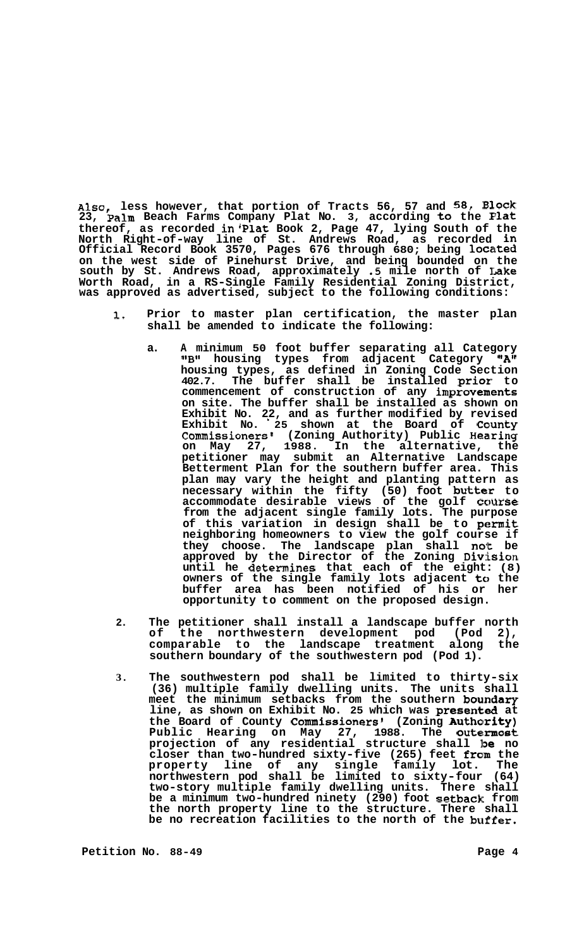Also, less however, that portion of Tracts 56, 57 and 58, Block **23, palm Beach Farms Company Plat No. 3, according to the Plat thereof, as recorded in'Plat Book 2, Page 47, lying South of the North Right-of-way line of St. Andrews Road, as recorded in Official Record Book 3570, Pages 676 through 680; being locetted on the west side of Pinehurst Drive, and being bounded on the south by St. Andrews Road, approximately** *.5* **mile north of Lake Worth Road, in a RS-Single Family Residential Zoning District, was approved as advertised, subject to the following conditions:** 

- **1. Prior to master plan certification, the master plan shall be amended to indicate the following:** 
	- **a. A minimum 50 foot buffer separating all Category l1Bl1 housing types from adjacent Category "Aff housing types, as defined in Zoning Code Section 402.7. The buffer shall be installed prior: to commencement of construction of any improvements on site. The buffer shall be installed as shown on Exhibit No. 22, and as further modified by revised**  Exhibit No. 25 shown at the Board of County Commissioners' (Zoning Authority) Public Hearing **on May 27, 1988. In the alternative, the petitioner may submit an Alternative Landscape Betterment Plan for the southern buffer area. This plan may vary the height and planting pattern as**  necessary within the fifty (50) foot **butter** to accommodate desirable views of the golf course **from the adjacent single family lots. The purpose**  of this variation in design shall be to **permit neighboring homeowners to view the golf course if they choose. The landscape plan shall no'k be approved by the Director of the Zoning Div::ision until he determines that each of the eight: (8) owners of the single family lots adjacent to the buffer area has been notified of his or her opportunity to comment on the proposed design.**
- **2. The petitioner shall install a landscape buffer north of the northwestern development pod (Pod 2),**  comparable to the landscape treatment **southern boundary of the southwestern pod (Pod 1).**
- **3. The southwestern pod shall be limited to thirty-six (36) multiple family dwelling units. The units shall**  meet the minimum setbacks from the southern boundary line, as shown on Exhibit No. 25 which was presented at the Board of County Commissioners' (Zoning Authority) **Public Hearing on May 27, 1988. The outemnost projection of any residential structure shall IlDe no**  closer than two-hundred sixty-five (265) feet from the **property line of any single family lot. The northwestern pod shall be limited to sixty-four (64) two-story multiple family dwelling units. There shall be a minimum two-hundred ninety (290) foot setback from the north property line to the structure. There shall be no recreation facilities to the north of the buffer.**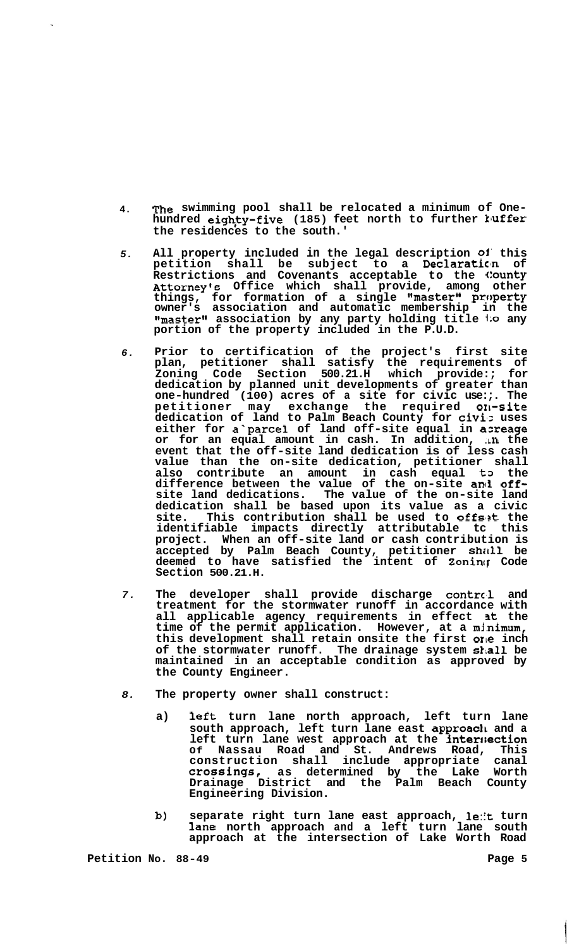- **4.**  The swimming pool shall be relocated a minimum of One-<br>hundred eighty-five (185) feet north to further luffer **the residences to the south.'**
- *5.*  **All property included in the legal description** *01'* **this**  petition shall be subject to a **Declarati**on of **Restrictions and Covenants acceptable to the (!OUnty Attorney's Office which shall provide, among other**  things, for formation of a single "master" property **owner's association and automatic membership in the "master1' association by any party holding title** l:o **any portion of the property included in the P.U.D.**
- *6.*  **Prior to certification of the project's first site plan, petitioner shall satisfy the requirements of Zoning Code Section 500.21.H which provide:; for dedication by planned unit developments of greater than one-hundred (100) acres of a site for civic use:;. The petitioner may exchange the required 0x1-site dedication of land to Palm Beach County for civisz uses either for a"parce1 of land off-site equal in axeage or for an equal amount in cash. In addition, in the event that the off-site land dedication is of less cash value than the on-site dedication, petitioner shall**  also contribute an amount in cash equal **t**o the difference between the value of the on-site and off**site land dedications. The value of the on-site land dedication shall be based upon its value as a civic**  site. This contribution shall be used to offset the **identifiable impacts directly attributable tc this project. When an off-site land or cash contribution is**  accepted by Palm Beach County, petitioner shall be **deemed to have satisfied the intent of Zonincf Code Section 500.21.H.**
- *7.*  **The developer shall provide discharge contrc.1 and treatment for the stormwater runoff in accordance with all applicable agency requirements in effect st the**  time of the permit application. However, at a minimum, **this development shall retain onsite the first orle inch of the stormwater runoff. The drainage system s1;all be maintained in an acceptable condition as approved by the County Engineer.**
- *8.*  **The property owner shall construct:** 
	- **a) left turn lane north approach, left turn lane south approach, left turn lane east approacl~ and a left turn lane west approach at the interrlection Of Nassau Road and St. Andrews Road, This construction shall include appropriate canal**  crossings, as determined by the Lake Worth **Drainage District and the Palm Beach County Engineering Division.**
	- **b) separate right turn lane east approach, 1e:It turn lane north approach and a left turn lane south approach at the intersection of Lake Worth Road**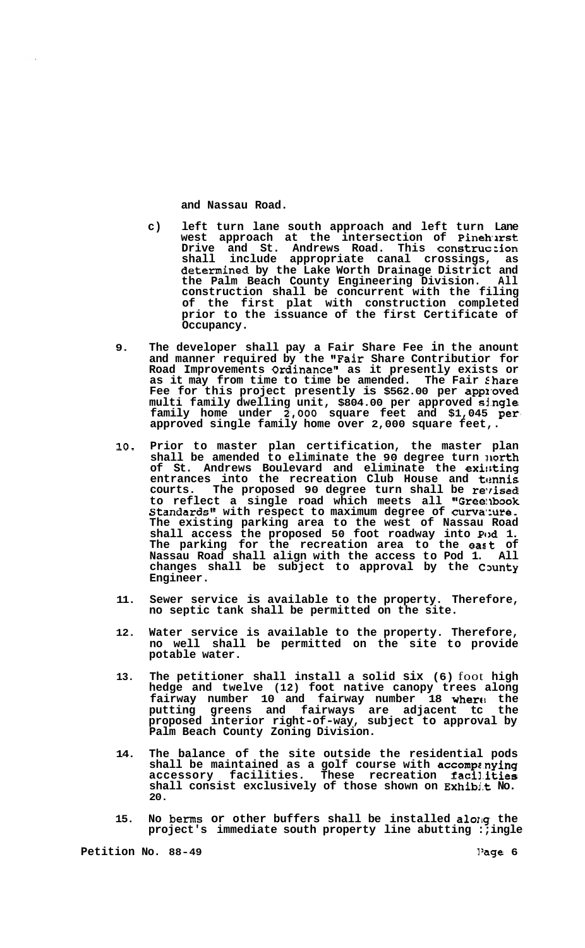**and Nassau Road.** 

- **c) left turn lane south approach and left turn Lane**  west approach at the intersection of Pi<mark>neh</mark>urst **Drive and St. Andrews Road. This construc:ion shall include appropriate canal crossings, as determined by the Lake Worth Drainage District and the Palm Beach County Engineering Division. All construction shall be concurrent with the filing of the first plat with construction completed prior to the issuance of the first Certificate of Occupancy.**
- **9. The developer shall pay a Fair Share Fee in the anount and manner required by the "Fair Share Contributior for Road Improvements Ordinance" as it presently exists or as it may from time to time be amended. The Fair Share Fee for this project presently is \$562.00 per appz\*oved multi family dwelling unit, \$804.00 per approved shgle family home under** *2,000* **square feet and \$1,045 per. approved single family home over 2,000 square feet,.**
- **10. Prior to master plan certification, the master plan shall be amended to eliminate the 90 degree turn llorth of St. Andrews Boulevard and eliminate the exi!;ting**  entrances into the recreation Club House and t**ennis** courts. The proposed 90 degree turn shall be revised **to reflect a single road which meets all "Gree:lbook Standards" with respect to maximum degree of curva:ure. The existing parking area to the west of Nassau Road**  shall access the proposed 50 foot roadway into Pud 1. **The parking for the recreation area to the eart of Nassau Road shall align with the access to Pod 1. All changes shall be subject to approval by the Cxmty Engineer.**
- **11. Sewer service is available to the property. Therefore, no septic tank shall be permitted on the site.**
- **12. Water service is available to the property. Therefore, no well shall be permitted on the site to provide potable water.**
- **13. The petitioner shall install a solid six (6)** foot **high hedge and twelve (12) foot native canopy trees along**  fairway number 10 and fairway number 18 where the **putting greens and fairways are adjacent tc the proposed interior right-of-way, subject to approval by Palm Beach County Zoning Division.**
- **14. The balance of the site outside the residential pods shall be maintained as a golf course with accompz.nying accessory facilities. These recreation facil.itias shall consist exclusively of those shown on Exhibj.t No. 20.**
- 15. No berms or other buffers shall be installed along the **project's immediate south property line abutting :;ingle**

**Petition No. 88-49 1/2 1/3 1/3 1/3 1/3 1/3 1/3 1/3 1/3 1/3 1/3 1/3 1/3 1/3 1/3 1/3 1/3 1/3 1/3 1/3 1/3 1/3 1/3 1/3 1/3 1/3 1/3 1/3 1/3 1/3 1/3 1/3 1/3 1/**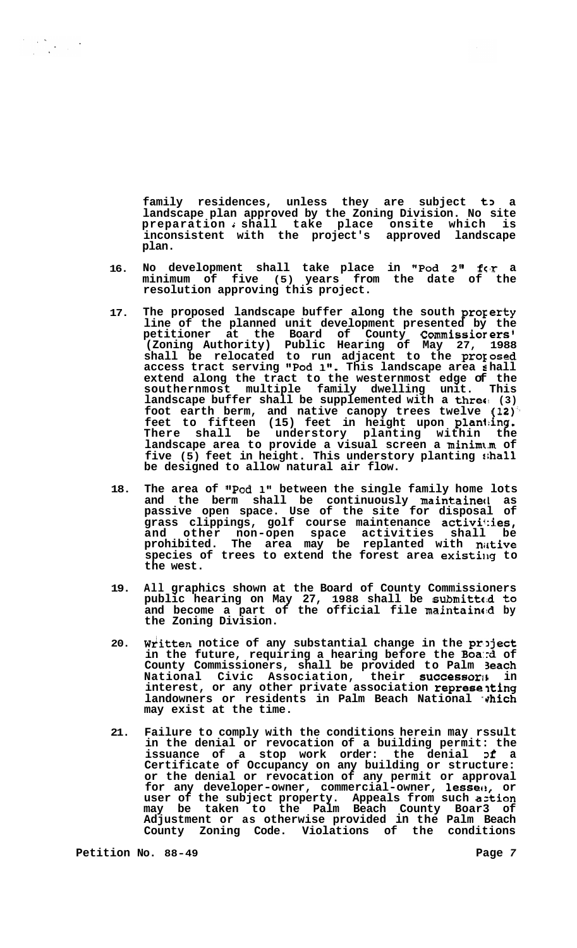family residences, unless they are subject to a **landscape plan approved by the Zoning Division. No site preparation** *i* **shall take place onsite which is inconsistent with the project's approved landscape plan.** 

- **16. No development shall take place in "Pod 211 fc'r a minimum of five (5) years from the date of the resolution approving this project.**
- **17. The proposed landscape buffer along the south progerty line of the planned unit development presented by the petitioner at the Board of County Commissiorers' (Zoning Authority) Public Hearing of May 27, 1988 shall be relocated to run adjacent to the prorosed access tract serving "Pod 1". This landscape area I hall extend along the tract to the westernmost edge of the southernmost multiple family dwelling unit. This landscape buffer shall be supplemented with a threc: (3) foot earth berm, and native canopy trees twelve (12)", feet to fifteen (15) feet in height upon plan1:ing. There shall be understory planting within the landscape area to provide a visual screen a minimt.m of five (5) feet in height. This understory planting \$;hall be designed to allow natural air flow.**
- **18. The area of "Pod 1" between the single family home lots and the berm shall be continuously maintainecl as passive open space. Use of the site for disposal of grass clippings, golf course maintenance activif:ies, and other non-open space activities shall be prohibited. The area may be replanted with niltive**  species of trees to extend the forest area existing to **the west.**
- **19. All graphics shown at the Board of County Commissioners public hearing on May 27, 1988 shall be submitte:d to and become a part of the official file maintainc:d by the Zoning Division.**
- **20.**  Written notice of any substantial change in the project **in the future, requiring a hearing before the Boa:rd of County Commissioners, shall be provided to Palm 3each**  National Civic Association, their successor<sub>1</sub>; interest, or any other private association representing landowners or residents in Palm Beach National which **may exist at the time.**
- **21. Failure to comply with the conditions herein may rssult in the denial or revocation of a building permit: the issuance of a stop work order: the denial Df a Certificate of Occupancy on any building or structure: or the denial or revocation of any permit or approval for any developer-owner, commercial-owner, lesset!, or user of the subject property. Appeals from such aztion may be taken to the Palm Beach County Boar3 of Adjustment or as otherwise provided in the Palm Beach County Zoning Code. Violations of the conditions**

**Petition No. 88-49 Page** *7*